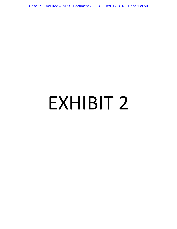Case 1:11-md-02262-NRB Document 2506-4 Filed 05/04/18 Page 1 of 50

# EXHIBIT 2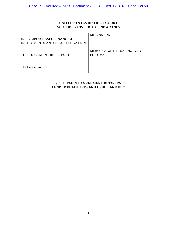# **UNITED STATES DISTRICT COURT SOUTHERN DISTRICT OF NEW YORK**

| IN RE LIBOR-BASED FINANCIAL<br><b>INSTRUMENTS ANTITRUST LITIGATION</b> | <b>MDL</b> No. 2262                                    |
|------------------------------------------------------------------------|--------------------------------------------------------|
| THIS DOCUMENT RELATES TO:                                              | Master File No. $1:11$ -md-2262-NRB<br><b>ECF Case</b> |
| The Lender Action                                                      |                                                        |

# **SETTLEMENT AGREEMENT BETWEEN LENDER PLAINTIFFS AND HSBC BANK PLC**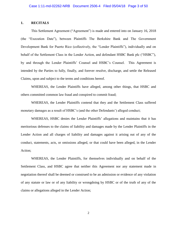# **1. RECITALS**

This Settlement Agreement ("Agreement") is made and entered into on January 16, 2018 (the "Execution Date"), between Plaintiffs The Berkshire Bank and The Government Development Bank for Puerto Rico (collectively, the "Lender Plaintiffs"), individually and on behalf of the Settlement Class in the Lender Action, and defendant HSBC Bank plc ("HSBC"), by and through the Lender Plaintiffs' Counsel and HSBC's Counsel. This Agreement is intended by the Parties to fully, finally, and forever resolve, discharge, and settle the Released Claims, upon and subject to the terms and conditions hereof.

WHEREAS, the Lender Plaintiffs have alleged, among other things, that HSBC and others committed common law fraud and conspired to commit fraud;

WHEREAS, the Lender Plaintiffs contend that they and the Settlement Class suffered monetary damages as a result of HSBC's (and the other Defendants') alleged conduct;

WHEREAS, HSBC denies the Lender Plaintiffs' allegations and maintains that it has meritorious defenses to the claims of liability and damages made by the Lender Plaintiffs in the Lender Action and all charges of liability and damages against it arising out of any of the conduct, statements, acts, or omissions alleged, or that could have been alleged, in the Lender Action;

WHEREAS, the Lender Plaintiffs, for themselves individually and on behalf of the Settlement Class, and HSBC agree that neither this Agreement nor any statement made in negotiation thereof shall be deemed or construed to be an admission or evidence of any violation of any statute or law or of any liability or wrongdoing by HSBC or of the truth of any of the claims or allegations alleged in the Lender Action;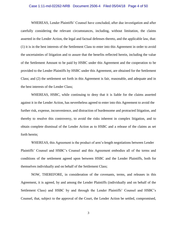### Case 1:11-md-02262-NRB Document 2506-4 Filed 05/04/18 Page 4 of 50

WHEREAS, Lender Plaintiffs' Counsel have concluded, after due investigation and after carefully considering the relevant circumstances, including, without limitation, the claims asserted in the Lender Action, the legal and factual defenses thereto, and the applicable law, that: (1) it is in the best interests of the Settlement Class to enter into this Agreement in order to avoid the uncertainties of litigation and to assure that the benefits reflected herein, including the value of the Settlement Amount to be paid by HSBC under this Agreement and the cooperation to be provided to the Lender Plaintiffs by HSBC under this Agreement, are obtained for the Settlement Class; and (2) the settlement set forth in this Agreement is fair, reasonable, and adequate and in the best interests of the Lender Class;

WHEREAS, HSBC, while continuing to deny that it is liable for the claims asserted against it in the Lender Action, has nevertheless agreed to enter into this Agreement to avoid the further risk, expense, inconvenience, and distraction of burdensome and protracted litigation, and thereby to resolve this controversy, to avoid the risks inherent in complex litigation, and to obtain complete dismissal of the Lender Action as to HSBC and a release of the claims as set forth herein;

WHEREAS, this Agreement is the product of arm's-length negotiations between Lender Plaintiffs' Counsel and HSBC's Counsel and this Agreement embodies all of the terms and conditions of the settlement agreed upon between HSBC and the Lender Plaintiffs, both for themselves individually and on behalf of the Settlement Class;

NOW, THEREFORE, in consideration of the covenants, terms, and releases in this Agreement, it is agreed, by and among the Lender Plaintiffs (individually and on behalf of the Settlement Class) and HSBC by and through the Lender Plaintiffs' Counsel and HSBC's Counsel, that, subject to the approval of the Court, the Lender Action be settled, compromised,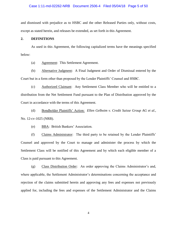# Case 1:11-md-02262-NRB Document 2506-4 Filed 05/04/18 Page 5 of 50

and dismissed with prejudice as to HSBC and the other Released Parties only, without costs, except as stated herein, and releases be extended, as set forth in this Agreement.

# **2. DEFINITIONS**

As used in this Agreement, the following capitalized terms have the meanings specified below:

(a) Agreement: This Settlement Agreement.

(b) Alternative Judgment: A Final Judgment and Order of Dismissal entered by the Court but in a form other than proposed by the Lender Plaintiffs' Counsel and HSBC.

(c) Authorized Claimant: Any Settlement Class Member who will be entitled to a distribution from the Net Settlement Fund pursuant to the Plan of Distribution approved by the Court in accordance with the terms of this Agreement.

(d) Bondholder Plaintiffs' Action: *Ellen Gelboim v. Credit Suisse Group AG et al.,*  No. 12-cv-1025 (NRB).

(e) BBA: British Bankers' Association.

(f) Claims Administrator: The third party to be retained by the Lender Plaintiffs' Counsel and approved by the Court to manage and administer the process by which the Settlement Class will be notified of this Agreement and by which each eligible member of a Class is paid pursuant to this Agreement.

(g) Class Distribution Order: An order approving the Claims Administrator's and, where applicable, the Settlement Administrator's determinations concerning the acceptance and rejection of the claims submitted herein and approving any fees and expenses not previously applied for, including the fees and expenses of the Settlement Administrator and the Claims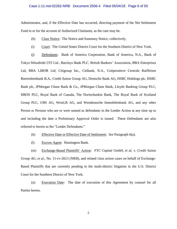### Case 1:11-md-02262-NRB Document 2506-4 Filed 05/04/18 Page 6 of 50

Administrator, and, if the Effective Date has occurred, directing payment of the Net Settlement Fund to or for the account of Authorized Claimants, as the case may be.

- (h) Class Notice: The Notice and Summary Notice, collectively.
- (i) Court: The United States District Court for the Southern District of New York.

(j) Defendants: Bank of America Corporation, Bank of America, N.A., Bank of Tokyo Mitsubishi UFJ Ltd., Barclays Bank PLC, British Bankers' Association, BBA Enterprises Ltd, BBA LIBOR Ltd, Citigroup Inc., Citibank, N.A., Coöperatieve Centrale Raiffeisen Boerenleenbank B.A., Credit Suisse Group AG, Deutsche Bank AG, HSBC Holdings plc, HSBC Bank plc, JPMorgan Chase Bank & Co., JPMorgan Chase Bank, Lloyds Banking Group PLC, HBOS PLC, Royal Bank of Canada, The Norinchunkin Bank, The Royal Bank of Scotland Group PLC, UBS AG, WestLB AG, and Westdeutsche Immobilenbank AG, and any other Person or Persons who are or were named as defendants in the Lender Action at any time up to and including the date a Preliminary Approval Order is issued. These Defendants are also referred to herein as the "Lender Defendants."

- (k) Effective Date or Effective Date of Settlement: *See* Paragraph 6(a).
- (l) Escrow Agent: Huntington Bank.
- (m) Exchange-Based Plaintiffs' Action: *FTC Capital GmbH, et al. v. Credit Suisse*

*Group AG, et al*., No. 11-cv-2613 (NRB), and related class action cases on behalf of Exchange-Based Plaintiffs that are currently pending in the multi-district litigation in the U.S. District Court for the Southern District of New York.

(n) Execution Date: The date of execution of this Agreement by counsel for all Parties hereto.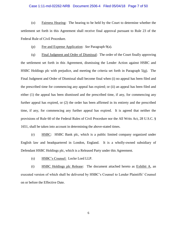### Case 1:11-md-02262-NRB Document 2506-4 Filed 05/04/18 Page 7 of 50

(o) Fairness Hearing: The hearing to be held by the Court to determine whether the settlement set forth in this Agreement shall receive final approval pursuant to Rule 23 of the Federal Rule of Civil Procedure.

(p) Fee and Expense Application: *See* Paragraph 9(a).

(q) Final Judgment and Order of Dismissal: The order of the Court finally approving the settlement set forth in this Agreement, dismissing the Lender Action against HSBC and HSBC Holdings plc with prejudice, and meeting the criteria set forth in Paragraph 5(g). The Final Judgment and Order of Dismissal shall become final when (i) no appeal has been filed and the prescribed time for commencing any appeal has expired; or (ii) an appeal has been filed and either (1) the appeal has been dismissed and the prescribed time, if any, for commencing any further appeal has expired, or (2) the order has been affirmed in its entirety and the prescribed time, if any, for commencing any further appeal has expired. It is agreed that neither the provisions of Rule 60 of the Federal Rules of Civil Procedure nor the All Writs Act, 28 U.S.C. § 1651, shall be taken into account in determining the above-stated times.

(r) HSBC: HSBC Bank plc, which is a public limited company organized under English law and headquartered in London, England. It is a wholly-owned subsidiary of Defendant HSBC Holdings plc, which is a Released Party under this Agreement.

(s) HSBC's Counsel: Locke Lord LLP.

(t) HSBC Holdings plc Release: The document attached hereto as Exhibit A, an executed version of which shall be delivered by HSBC's Counsel to Lender Plaintiffs' Counsel on or before the Effective Date.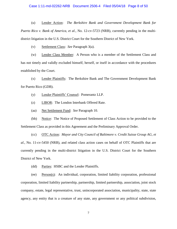### Case 1:11-md-02262-NRB Document 2506-4 Filed 05/04/18 Page 8 of 50

(u) Lender Action: *The Berkshire Bank and Government Development Bank for Puerto Rico v. Bank of America, et al.*, No. 12-cv-5723 (NRB), currently pending in the multidistrict litigation in the U.S. District Court for the Southern District of New York.

(v) Settlement Class: *See* Paragraph 3(a).

(w) Lender Class Member: A Person who is a member of the Settlement Class and has not timely and validly excluded himself, herself, or itself in accordance with the procedures established by the Court.

(x) Lender Plaintiffs: The Berkshire Bank and The Government Development Bank for Puerto Rico (GDB).

(y) Lender Plaintiffs' Counsel: Pomerantz LLP.

(z) LIBOR: The London Interbank Offered Rate.

(aa) Net Settlement Fund: *See* Paragraph 10.

(bb) Notice: The Notice of Proposed Settlement of Class Action to be provided to the Settlement Class as provided in this Agreement and the Preliminary Approval Order.

(cc) OTC Action: *Mayor and City Council of Baltimore v. Credit Suisse Group AG, et al.*, No. 11-cv-5450 (NRB), and related class action cases on behalf of OTC Plaintiffs that are currently pending in the multi-district litigation in the U.S. District Court for the Southern District of New York.

(dd) Parties: HSBC and the Lender Plaintiffs.

(ee) Person(s): An individual, corporation, limited liability corporation, professional corporation, limited liability partnership, partnership, limited partnership, association, joint stock company, estate, legal representative, trust, unincorporated association, municipality, state, state agency, any entity that is a creature of any state, any government or any political subdivision,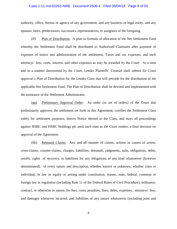### Case 1:11-md-02262-NRB Document 2506-4 Filed 05/04/18 Page 9 of 50

authority, office, bureau or agency of any government, and any business or legal entity, and any spouses, heirs, predecessors, successors, representatives, or assignees of the foregoing.

(ff) Plan of Distribution: A plan or formula of allocation of the Net Settlement Fund whereby the Settlement Fund shall be distributed to Authorized Claimants after payment of expenses of notice and administration of the settlement, Taxes and tax expenses, and such attorneys' fees, costs, interest, and other expenses as may be awarded by the Court. At a time and in a manner determined by the Court, Lender Plaintiffs' Counsel shall submit for Court approval a Plan of Distribution for the Lender Class that will provide for the distribution of the applicable Net Settlement Fund. The Plan of Distribution shall be devised and implemented with the assistance of the Settlement Administrator.

(gg) Preliminary Approval Order: An order (or set of orders) of the Court that preliminarily approves the settlement set forth in this Agreement, certifies the Settlement Class solely for settlement purposes, directs Notice thereof to the Class, and stays all proceedings against HSBC and HSBC Holdings plc until such time as the Court renders a final decision on approval of the Agreement.

(hh) Released Claims: Any and all manner of claims, actions or causes of action, cross-claims, counter-claims, charges, liabilities, demands, judgments, suits, obligations, debts, setoffs, rights of recovery, or liabilities for any obligations of any kind whatsoever (however denominated), of every nature and description, whether known or unknown, whether class or individual, in law or equity or arising under constitution, statute, state, federal, common or foreign law or regulation (including Rule 11 of the Federal Rules of Civil Procedure), ordinance, contract, or otherwise in nature, for fees, costs, penalties, fines, debts, expenses, attorneys' fees, and damages whenever incurred, and liabilities of any nature whatsoever (including joint and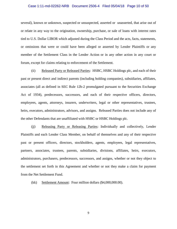### Case 1:11-md-02262-NRB Document 2506-4 Filed 05/04/18 Page 10 of 50

several), known or unknown, suspected or unsuspected, asserted or unasserted, that arise out of or relate in any way to the origination, ownership, purchase, or sale of loans with interest rates tied to U.S. Dollar LIBOR which adjusted during the Class Period and the acts, facts, statements, or omissions that were or could have been alleged or asserted by Lender Plaintiffs or any member of the Settlement Class in the Lender Action or in any other action in any court or forum, except for claims relating to enforcement of the Settlement.

(ii) Released Party or Released Parties: HSBC, HSBC Holdings plc, and each of their past or present direct and indirect parents (including holding companies), subsidiaries, affiliates, associates (all as defined in SEC Rule 12b-2 promulgated pursuant to the Securities Exchange Act of 1934), predecessors, successors, and each of their respective officers, directors, employees, agents, attorneys, insurers, underwriters, legal or other representatives, trustees, heirs, executors, administrators, advisors, and assigns. Released Parties does not include any of the other Defendants that are unaffiliated with HSBC or HSBC Holdings plc.

(jj) Releasing Party or Releasing Parties: Individually and collectively, Lender Plaintiffs and each Lender Class Member, on behalf of themselves and any of their respective past or present officers, directors, stockholders, agents, employees, legal representatives, partners, associates, trustees, parents, subsidiaries, divisions, affiliates, heirs, executors, administrators, purchasers, predecessors, successors, and assigns, whether or not they object to the settlement set forth in this Agreement and whether or not they make a claim for payment from the Net Settlement Fund.

(kk) Settlement Amount: Four million dollars (\$4,000,000.00).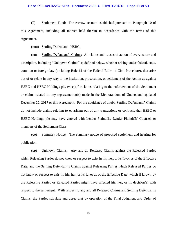### Case 1:11-md-02262-NRB Document 2506-4 Filed 05/04/18 Page 11 of 50

(ll) Settlement Fund: The escrow account established pursuant to Paragraph 10 of this Agreement, including all monies held therein in accordance with the terms of this Agreement.

(mm) Settling Defendant: HSBC.

(nn) Settling Defendant's Claims: All claims and causes of action of every nature and description, including "Unknown Claims" as defined below, whether arising under federal, state, common or foreign law (including Rule 11 of the Federal Rules of Civil Procedure), that arise out of or relate in any way to the institution, prosecution, or settlement of the Action as against HSBC and HSBC Holdings plc, except for claims relating to the enforcement of the Settlement or claims related to any representation(s) made in the Memorandum of Understanding dated December 22, 2017 or this Agreement. For the avoidance of doubt, Settling Defendants' Claims do not include claims relating to or arising out of any transactions or contracts that HSBC or HSBC Holdings plc may have entered with Lender Plaintiffs, Lender Plaintiffs' Counsel, or members of the Settlement Class.

(oo) Summary Notice: The summary notice of proposed settlement and hearing for publication.

(pp) Unknown Claims: Any and all Released Claims against the Released Parties which Releasing Parties do not know or suspect to exist in his, her, or its favor as of the Effective Date, and the Settling Defendant's Claims against Releasing Parties which Released Parties do not know or suspect to exist in his, her, or its favor as of the Effective Date, which if known by the Releasing Parties or Released Parties might have affected his, her, or its decision(s) with respect to the settlement. With respect to any and all Released Claims and Settling Defendant's Claims, the Parties stipulate and agree that by operation of the Final Judgment and Order of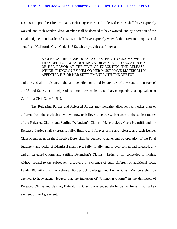## Case 1:11-md-02262-NRB Document 2506-4 Filed 05/04/18 Page 12 of 50

Dismissal, upon the Effective Date, Releasing Parties and Released Parties shall have expressly waived, and each Lender Class Member shall be deemed to have waived, and by operation of the Final Judgment and Order of Dismissal shall have expressly waived, the provisions, rights and benefits of California Civil Code § 1542, which provides as follows:

# A GENERAL RELEASE DOES NOT EXTEND TO CLAIMS WHICH THE CREDITOR DOES NOT KNOW OR SUSPECT TO EXIST IN HIS OR HER FAVOR AT THE TIME OF EXECUTING THE RELEASE, WHICH IF KNOWN BY HIM OR HER MUST HAVE MATERIALLY AFFECTED HIS OR HER SETTLEMENT WITH THE DEBTOR.

and any and all provisions, rights and benefits conferred by any law of any state or territory of the United States, or principle of common law, which is similar, comparable, or equivalent to California Civil Code § 1542.

The Releasing Parties and Released Parties may hereafter discover facts other than or different from those which they now know or believe to be true with respect to the subject matter of the Released Claims and Settling Defendant's Claims. Nevertheless, Class Plaintiffs and the Released Parties shall expressly, fully, finally, and forever settle and release, and each Lender Class Member, upon the Effective Date, shall be deemed to have, and by operation of the Final Judgment and Order of Dismissal shall have, fully, finally, and forever settled and released, any and all Released Claims and Settling Defendant's Claims, whether or not concealed or hidden, without regard to the subsequent discovery or existence of such different or additional facts. Lender Plaintiffs and the Released Parties acknowledge, and Lender Class Members shall be deemed to have acknowledged, that the inclusion of "Unknown Claims" in the definition of Released Claims and Settling Defendant's Claims was separately bargained for and was a key element of the Agreement.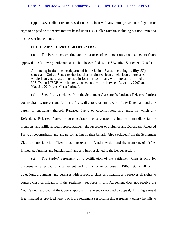(qq) U.S. Dollar LIBOR-Based Loan: A loan with any term, provision, obligation or right to be paid or to receive interest based upon U.S. Dollar LIBOR, including but not limited to business or home loans.

# **3. SETTLEMENT CLASS CERTIFICATION**

(a) The Parties hereby stipulate for purposes of settlement only that, subject to Court approval, the following settlement class shall be certified as to HSBC (the "Settlement Class"):

All lending institutions headquartered in the United States, including its fifty (50) states and United States territories, that originated loans, held loans, purchased whole loans, purchased interests in loans or sold loans with interest rates tied to U.S. Dollar LIBOR, which rates adjusted at any time between August 1, 2007 and May 31, 2010 (the "Class Period").

(b) Specifically excluded from the Settlement Class are Defendants; Released Parties; coconspirators; present and former officers, directors, or employees of any Defendant and any parent or subsidiary thereof, Released Party, or coconspirator; any entity in which any Defendant, Released Party, or co-conspirator has a controlling interest; immediate family members, any affiliate, legal representative, heir, successor or assign of any Defendant, Released Party, or coconspirator and any person acting on their behalf. Also excluded from the Settlement Class are any judicial officers presiding over the Lender Action and the members of his/her immediate families and judicial staff, and any juror assigned to the Lender Action.

(c) The Parties' agreement as to certification of the Settlement Class is only for purposes of effectuating a settlement and for no other purpose. HSBC retains all of its objections, arguments, and defenses with respect to class certification, and reserves all rights to contest class certification, if the settlement set forth in this Agreement does not receive the Court's final approval, if the Court's approval is reversed or vacated on appeal, if this Agreement is terminated as provided herein, or if the settlement set forth in this Agreement otherwise fails to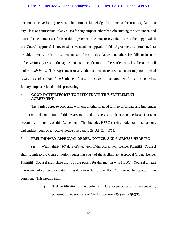# Case 1:11-md-02262-NRB Document 2506-4 Filed 05/04/18 Page 14 of 50

become effective for any reason. The Parties acknowledge that there has been no stipulation to any Class or certification of any Class for any purpose other than effectuating the settlement, and that if the settlement set forth in this Agreement does not receive the Court's final approval, if the Court's approval is reversed or vacated on appeal, if this Agreement is terminated as provided herein, or if the settlement set forth in this Agreement otherwise fails to become effective for any reason, this agreement as to certification of the Settlement Class becomes null and void *ab initio*. This Agreement or any other settlement-related statement may not be cited regarding certification of the Settlement Class, or in support of an argument for certifying a class for any purpose related to this proceeding.

# **4. GOOD FAITH EFFORTS TO EFFECTUATE THIS SETTLEMENT AGREEMENT**

The Parties agree to cooperate with one another in good faith to effectuate and implement the terms and conditions of this Agreement and to exercise their reasonable best efforts to accomplish the terms of this Agreement. This includes HSBC serving notice on those persons and entities required to receive notice pursuant to 28 U.S.C. § 1715.

# **5. PRELIMINARY APPROVAL ORDER, NOTICE, AND FAIRNESS HEARING**

(a) Within thirty (30) days of execution of this Agreement, Lender Plaintiffs' Counsel shall submit to the Court a motion requesting entry of the Preliminary Approval Order. Lender Plaintiffs' Counsel shall share drafts of the papers for this motion with HSBC's Counsel at least one week before the anticipated filing date in order to give HSBC a reasonable opportunity to comment. This motion shall:

> (i) Seek certification of the Settlement Class for purposes of settlement only, pursuant to Federal Rule of Civil Procedure 23(a) and 23(b)(3);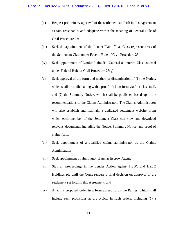- (ii) Request preliminary approval of the settlement set forth in this Agreement as fair, reasonable, and adequate within the meaning of Federal Rule of Civil Procedure 23;
- (iii) Seek the appointment of the Lender Plaintiffs as Class representatives of the Settlement Class under Federal Rule of Civil Procedure 23;
- (iv) Seek appointment of Lender Plaintiffs' Counsel as interim Class counsel under Federal Rule of Civil Procedure 23(g);
- (v) Seek approval of the form and method of dissemination of (1) the Notice, which shall be mailed along with a proof of claim form via first-class mail, and (2) the Summary Notice, which shall be published based upon the recommendations of the Claims Administrator. The Claims Administrator will also establish and maintain a dedicated settlement website, from which each member of the Settlement Class can view and download relevant documents, including the Notice, Summary Notice, and proof of claim form;
- (vi) Seek appointment of a qualified claims administrator as the Claims Administrator;
- (vii) Seek appointment of Huntington Bank as Escrow Agent;
- (viii) Stay all proceedings in the Lender Action against HSBC and HSBC Holdings plc until the Court renders a final decision on approval of the settlement set forth in this Agreement; and
- (ix) Attach a proposed order in a form agreed to by the Parties, which shall include such provisions as are typical in such orders, including (1) a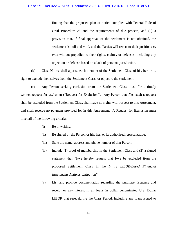# Case 1:11-md-02262-NRB Document 2506-4 Filed 05/04/18 Page 16 of 50

finding that the proposed plan of notice complies with Federal Rule of Civil Procedure 23 and the requirements of due process, and (2) a provision that, if final approval of the settlement is not obtained, the settlement is null and void, and the Parties will revert to their positions *ex ante* without prejudice to their rights, claims, or defenses, including any objection or defense based on a lack of personal jurisdiction.

(b) Class Notice shall apprise each member of the Settlement Class of his, her or its right to exclude themselves from the Settlement Class, or object to the settlement.

(c) Any Person seeking exclusion from the Settlement Class must file a timely written request for exclusion ("Request for Exclusion"). Any Person that files such a request shall be excluded from the Settlement Class, shall have no rights with respect to this Agreement, and shall receive no payment provided for in this Agreement. A Request for Exclusion must meet all of the following criteria:

- (i) Be in writing;
- (ii) Be signed by the Person or his, her, or its authorized representative;
- (iii) State the name, address and phone number of that Person;
- (iv) Include (1) proof of membership in the Settlement Class and (2) a signed statement that "I/we hereby request that I/we be excluded from the proposed Settlement Class in the *In re LIBOR-Based Financial Instruments Antitrust Litigation*";
- (v) List and provide documentation regarding the purchase, issuance and receipt or any interest in all loans in dollar denominated U.S. Dollar LIBOR that reset during the Class Period, including any loans issued to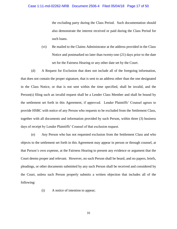the excluding party during the Class Period. Such documentation should also demonstrate the interest received or paid during the Class Period for such loans.

(vi) Be mailed to the Claims Administrator at the address provided in the Class Notice and postmarked no later than twenty-one (21) days prior to the date set for the Fairness Hearing or any other date set by the Court.

(d) A Request for Exclusion that does not include all of the foregoing information, that does not contain the proper signature, that is sent to an address other than the one designated in the Class Notice, or that is not sent within the time specified, shall be invalid, and the Person(s) filing such an invalid request shall be a Lender Class Member and shall be bound by the settlement set forth in this Agreement, if approved. Lender Plaintiffs' Counsel agrees to provide HSBC with notice of any Person who requests to be excluded from the Settlement Class, together with all documents and information provided by such Person, within three (3) business days of receipt by Lender Plaintiffs' Counsel of that exclusion request.

(e) Any Person who has not requested exclusion from the Settlement Class and who objects to the settlement set forth in this Agreement may appear in person or through counsel, at that Person's own expense, at the Fairness Hearing to present any evidence or argument that the Court deems proper and relevant. However, no such Person shall be heard, and no papers, briefs, pleadings, or other documents submitted by any such Person shall be received and considered by the Court, unless such Person properly submits a written objection that includes all of the following:

(i) A notice of intention to appear;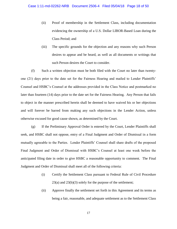- (ii) Proof of membership in the Settlement Class, including documentation evidencing the ownership of a U.S. Dollar LIBOR-Based Loan during the Class Period; and
- (iii) The specific grounds for the objection and any reasons why such Person desires to appear and be heard, as well as all documents or writings that such Person desires the Court to consider.

(f) Such a written objection must be both filed with the Court no later than twentyone (21) days prior to the date set for the Fairness Hearing and mailed to Lender Plaintiffs' Counsel and HSBC's Counsel at the addresses provided in the Class Notice and postmarked no later than fourteen (14) days prior to the date set for the Fairness Hearing. Any Person that fails to object in the manner prescribed herein shall be deemed to have waived his or her objections and will forever be barred from making any such objections in the Lender Action, unless otherwise excused for good cause shown, as determined by the Court.

(g) If the Preliminary Approval Order is entered by the Court, Lender Plaintiffs shall seek, and HSBC shall not oppose, entry of a Final Judgment and Order of Dismissal in a form mutually agreeable to the Parties. Lender Plaintiffs' Counsel shall share drafts of the proposed Final Judgment and Order of Dismissal with HSBC's Counsel at least one week before the anticipated filing date in order to give HSBC a reasonable opportunity to comment. The Final Judgment and Order of Dismissal shall meet all of the following criteria:

- (i) Certify the Settlement Class pursuant to Federal Rule of Civil Procedure  $23(a)$  and  $23(b)(3)$  solely for the purpose of the settlement;
- (ii) Approve finally the settlement set forth in this Agreement and its terms as being a fair, reasonable, and adequate settlement as to the Settlement Class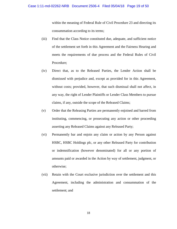within the meaning of Federal Rule of Civil Procedure 23 and directing its consummation according to its terms;

- (iii) Find that the Class Notice constituted due, adequate, and sufficient notice of the settlement set forth in this Agreement and the Fairness Hearing and meets the requirements of due process and the Federal Rules of Civil Procedure;
- (iv) Direct that, as to the Released Parties, the Lender Action shall be dismissed with prejudice and, except as provided for in this Agreement, without costs; provided, however, that such dismissal shall not affect, in any way, the right of Lender Plaintiffs or Lender Class Members to pursue claims, if any, outside the scope of the Released Claims;
- (v) Order that the Releasing Parties are permanently enjoined and barred from instituting, commencing, or prosecuting any action or other proceeding asserting any Released Claims against any Released Party;
- (vi) Permanently bar and enjoin any claim or action by any Person against HSBC, HSBC Holdings plc, or any other Released Party for contribution or indemnification (however denominated) for all or any portion of amounts paid or awarded in the Action by way of settlement, judgment, or otherwise;
- (vii) Retain with the Court exclusive jurisdiction over the settlement and this Agreement, including the administration and consummation of the settlement; and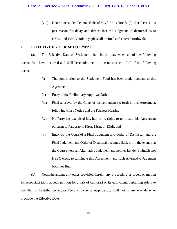(viii) Determine under Federal Rule of Civil Procedure 54(b) that there is no just reason for delay and directs that the judgment of dismissal as to HSBC and HSBC Holdings plc shall be final and entered forthwith.

# **6. EFFECTIVE DATE OF SETTLEMENT**

(a) The Effective Date of Settlement shall be the date when all of the following events shall have occurred and shall be conditioned on the occurrence of all of the following events:

- (i) The contribution to the Settlement Fund has been made pursuant to this Agreement;
- (ii) Entry of the Preliminary Approval Order;
- (iii) Final approval by the Court of the settlement set forth in this Agreement, following Class Notice and the Fairness Hearing;
- (iv) No Party has exercised his, her, or its rights to terminate this Agreement pursuant to Paragraphs  $10(c)$ ,  $13(a)$ , or  $13(d)$ ; and
- (v) Entry by the Court of a Final Judgment and Order of Dismissal, and the Final Judgment and Order of Dismissal becomes final, or, in the event that the Court enters an Alternative Judgment and neither Lender Plaintiffs nor HSBC elects to terminate this Agreement, and such Alternative Judgment becomes final.

(b) Notwithstanding any other provision herein, any proceeding or order, or motion for reconsideration, appeal, petition for a writ of certiorari or its equivalent, pertaining solely to any Plan of Distribution and/or Fee and Expense Application, shall not in any way delay or preclude the Effective Date.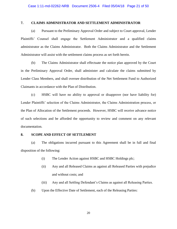# **7. CLAIMS ADMINISTRATOR AND SETTLEMENT ADMINISTRATOR**

(a) Pursuant to the Preliminary Approval Order and subject to Court approval, Lender Plaintiffs' Counsel shall engage the Settlement Administrator and a qualified claims administrator as the Claims Administrator. Both the Claims Administrator and the Settlement Administrator will assist with the settlement claims process as set forth herein.

(b) The Claims Administrator shall effectuate the notice plan approved by the Court in the Preliminary Approval Order, shall administer and calculate the claims submitted by Lender Class Members, and shall oversee distribution of the Net Settlement Fund to Authorized Claimants in accordance with the Plan of Distribution.

(c) HSBC will have no ability to approval or disapprove (nor have liability for) Lender Plaintiffs' selection of the Claims Administrator, the Claims Administration process, or the Plan of Allocation of the Settlement proceeds. However, HSBC will receive advance notice of such selections and be afforded the opportunity to review and comment on any relevant documentation.

# **8. SCOPE AND EFFECT OF SETTLEMENT**

(a) The obligations incurred pursuant to this Agreement shall be in full and final disposition of the following:

- (i) The Lender Action against HSBC and HSBC Holdings plc;
- (ii) Any and all Released Claims as against all Released Parties with prejudice and without costs; and
- (iii) Any and all Settling Defendant's Claims as against all Releasing Parties.
- (b) Upon the Effective Date of Settlement, each of the Releasing Parties: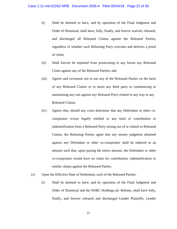- (i) Shall be deemed to have, and by operation of the Final Judgment and Order of Dismissal, shall have, fully, finally, and forever waived, released, and discharged all Released Claims against the Released Parties, regardless of whether such Releasing Party executes and delivers a proof of claim;
- (ii) Shall forever be enjoined from prosecuting in any forum any Released Claim against any of the Released Parties; and
- (iii) Agrees and covenants not to sue any of the Released Parties on the basis of any Released Claims or to assist any third party in commencing or maintaining any suit against any Released Party related in any way to any Released Claims.
- (iv) Agrees that, should any court determine that any Defendant or other coconspirator is/was legally entitled to any kind of contribution or indemnification from a Released Party arising out of or related to Released Claims, the Releasing Parties agree that any money judgment obtained against any Defendant or other co-conspirator shall be reduced to an amount such that, upon paying the entire amount, the Defendant or other co-conspirator would have no claim for contribution, indemnification or similar claims against the Released Parties.
- (c) Upon the Effective Date of Settlement, each of the Released Parties:
	- (i) Shall be deemed to have, and by operation of the Final Judgment and Order of Dismissal and the HSBC Holdings plc Release, shall have fully, finally, and forever released and discharged Lender Plaintiffs, Lender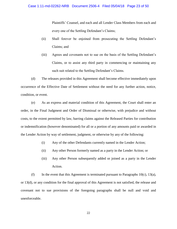Plaintiffs' Counsel, and each and all Lender Class Members from each and every one of the Settling Defendant's Claims;

- (ii) Shall forever be enjoined from prosecuting the Settling Defendant's Claims; and
- (iii) Agrees and covenants not to sue on the basis of the Settling Defendant's Claims, or to assist any third party in commencing or maintaining any such suit related to the Settling Defendant's Claims.

(d) The releases provided in this Agreement shall become effective immediately upon occurrence of the Effective Date of Settlement without the need for any further action, notice, condition, or event.

(e) As an express and material condition of this Agreement, the Court shall enter an order, in the Final Judgment and Order of Dismissal or otherwise, with prejudice and without costs, to the extent permitted by law, barring claims against the Released Parties for contribution or indemnification (however denominated) for all or a portion of any amounts paid or awarded in the Lender Action by way of settlement, judgment, or otherwise by any of the following:

- (i) Any of the other Defendants currently named in the Lender Action;
- (ii) Any other Person formerly named as a party in the Lender Action; or
- (iii) Any other Person subsequently added or joined as a party in the Lender Action.

(f) In the event that this Agreement is terminated pursuant to Paragraphs  $10(c)$ ,  $13(a)$ , or 13(d), or any condition for the final approval of this Agreement is not satisfied, the release and covenant not to sue provisions of the foregoing paragraphs shall be null and void and unenforceable.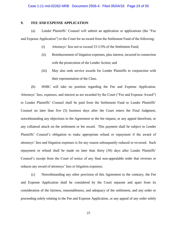# **9. FEE AND EXPENSE APPLICATION**

(a) Lender Plaintiffs' Counsel will submit an application or applications (the "Fee and Expense Application") to the Court for an award from the Settlement Fund of the following:

- (i) Attorneys' fees not to exceed 33-1/3% of the Settlement Fund;
- (ii) Reimbursement of litigation expenses, plus interest, incurred in connection with the prosecution of the Lender Action; and
- (iii) May also seek service awards for Lender Plaintiffs in conjunction with their representation of the Class.

(b) HSBC will take no position regarding the Fee and Expense Application. Attorneys' fees, expenses, and interest as are awarded by the Court ("Fee and Expense Award") to Lender Plaintiffs' Counsel shall be paid from the Settlement Fund to Lender Plaintiffs' Counsel no later than five (5) business days after the Court enters the Final Judgment, notwithstanding any objections to the Agreement or the fee request, or any appeal therefrom, or any collateral attack on the settlement or fee award. This payment shall be subject to Lender Plaintiffs' Counsel's obligation to make appropriate refund or repayment if the award of attorneys' fees and litigation expenses is for any reason subsequently reduced or reversed. Such repayment or refund shall be made no later than thirty (30) days after Lender Plaintiffs' Counsel's receipt from the Court of notice of any final non-appealable order that reverses or reduces any award of attorneys' fees or litigation expenses.

(c) Notwithstanding any other provision of this Agreement to the contrary, the Fee and Expense Application shall be considered by the Court separate and apart from its consideration of the fairness, reasonableness, and adequacy of the settlement, and any order or proceeding solely relating to the Fee and Expense Application, or any appeal of any order solely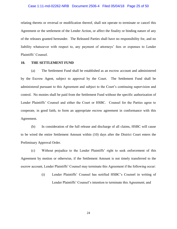# Case 1:11-md-02262-NRB Document 2506-4 Filed 05/04/18 Page 25 of 50

relating thereto or reversal or modification thereof, shall not operate to terminate or cancel this Agreement or the settlement of the Lender Action, or affect the finality or binding nature of any of the releases granted hereunder. The Released Parties shall have no responsibility for, and no liability whatsoever with respect to, any payment of attorneys' fees or expenses to Lender Plaintiffs' Counsel.

# **10. THE SETTLEMENT FUND**

(a) The Settlement Fund shall be established as an escrow account and administered by the Escrow Agent, subject to approval by the Court. The Settlement Fund shall be administered pursuant to this Agreement and subject to the Court's continuing supervision and control. No monies shall be paid from the Settlement Fund without the specific authorization of Lender Plaintiffs' Counsel and either the Court or HSBC. Counsel for the Parties agree to cooperate, in good faith, to form an appropriate escrow agreement in conformance with this Agreement.

(b) In consideration of the full release and discharge of all claims, HSBC will cause to be wired the entire Settlement Amount within (10) days after the District Court enters the Preliminary Approval Order.

(c) Without prejudice to the Lender Plaintiffs' right to seek enforcement of this Agreement by motion or otherwise, if the Settlement Amount is not timely transferred to the escrow account, Lender Plaintiffs' Counsel may terminate this Agreement if the following occur:

> (i) Lender Plaintiffs' Counsel has notified HSBC's Counsel in writing of Lender Plaintiffs' Counsel's intention to terminate this Agreement; and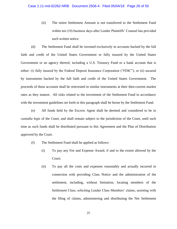(ii) The entire Settlement Amount is not transferred to the Settlement Fund within ten (10) business days after Lender Plaintiffs' Counsel has provided such written notice.

(d) The Settlement Fund shall be invested exclusively in accounts backed by the full faith and credit of the United States Government or fully insured by the United States Government or an agency thereof, including a U.S. Treasury Fund or a bank account that is either: (i) fully insured by the Federal Deposit Insurance Corporation ("FDIC"); or (ii) secured by instruments backed by the full faith and credit of the United States Government. The proceeds of these accounts shall be reinvested in similar instruments at their then-current market rates as they mature. All risks related to the investment of the Settlement Fund in accordance with the investment guidelines set forth in this paragraph shall be borne by the Settlement Fund.

(e) All funds held by the Escrow Agent shall be deemed and considered to be in *custodia legis* of the Court, and shall remain subject to the jurisdiction of the Court, until such time as such funds shall be distributed pursuant to this Agreement and the Plan of Distribution approved by the Court.

- (f) The Settlement Fund shall be applied as follows:
	- (i) To pay any Fee and Expense Award, if and to the extent allowed by the Court;
	- (ii) To pay all the costs and expenses reasonably and actually incurred in connection with providing Class Notice and the administration of the settlement, including, without limitation, locating members of the Settlement Class, soliciting Lender Class Members' claims, assisting with the filing of claims, administering and distributing the Net Settlement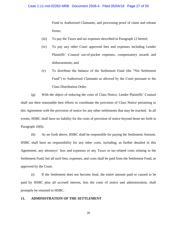## Case 1:11-md-02262-NRB Document 2506-4 Filed 05/04/18 Page 27 of 50

Fund to Authorized Claimants, and processing proof of claim and release forms;

- (iii) To pay the Taxes and tax expenses described in Paragraph 12 hereof;
- (iv) To pay any other Court approved fees and expenses including Lender Plaintiffs' Counsel out-of-pocket expenses, compensatory awards and disbursements; and
- (v) To distribute the balance of the Settlement Fund (the "Net Settlement Fund") to Authorized Claimants as allowed by the Court pursuant to the Class Distribution Order.

(g) With the object of reducing the costs of Class Notice, Lender Plaintiffs' Counsel shall use their reasonable best efforts to coordinate the provision of Class Notice pertaining to this Agreement with the provision of notice for any other settlements that may be reached. In all events, HSBC shall have no liability for the costs of provision of notice beyond those set forth in Paragraph 10(b).

(h) As set forth above, HSBC shall be responsible for paying the Settlement Amount. HSBC shall have no responsibility for any other costs, including, as further detailed in this Agreement, any attorneys' fees and expenses or any Taxes or tax-related costs relating to the Settlement Fund, but all such fees, expenses, and costs shall be paid from the Settlement Fund, as approved by the Court.

(i) If the Settlement does not become final, the entire amount paid or caused to be paid by HSBC plus all accrued interest, less the costs of notice and administration, shall promptly be returned to HSBC.

# **11. ADMINISTRATION OF THE SETTLEMENT**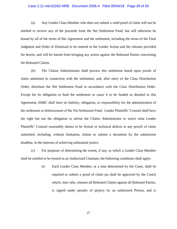### Case 1:11-md-02262-NRB Document 2506-4 Filed 05/04/18 Page 28 of 50

(a) Any Lender Class Member who does not submit a valid proof of claim will not be entitled to receive any of the proceeds from the Net Settlement Fund, but will otherwise be bound by all of the terms of this Agreement and the settlement, including the terms of the Final Judgment and Order of Dismissal to be entered in the Lender Action and the releases provided for herein, and will be barred from bringing any action against the Released Parties concerning the Released Claims.

(b) The Claims Administrator shall process this settlement based upon proofs of claim submitted in connection with the settlement, and, after entry of the Class Distribution Order, distribute the Net Settlement Fund in accordance with the Class Distribution Order. Except for its obligation to fund the settlement or cause it to be funded as detailed in this Agreement, HSBC shall have no liability, obligation, or responsibility for the administration of the settlement or disbursement of the Net Settlement Fund. Lender Plaintiffs' Counsel shall have the right but not the obligation to advise the Claims Administrator to waive what Lender Plaintiffs' Counsel reasonably deems to be formal or technical defects in any proofs of claim submitted, including, without limitation, failure to submit a document by the submission deadline, in the interests of achieving substantial justice.

(c) For purposes of determining the extent, if any, to which a Lender Class Member shall be entitled to be treated as an Authorized Claimant, the following conditions shall apply:

> (i) Each Lender Class Member, at a time determined by the Court, shall be required to submit a proof of claim (as shall be approved by the Court) which, *inter alia*, releases all Released Claims against all Released Parties, is signed under penalty of perjury by an authorized Person, and is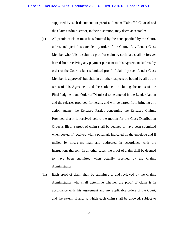supported by such documents or proof as Lender Plaintiffs' Counsel and the Claims Administrator, in their discretion, may deem acceptable;

- (ii) All proofs of claim must be submitted by the date specified by the Court, unless such period is extended by order of the Court. Any Lender Class Member who fails to submit a proof of claim by such date shall be forever barred from receiving any payment pursuant to this Agreement (unless, by order of the Court, a later submitted proof of claim by such Lender Class Member is approved) but shall in all other respects be bound by all of the terms of this Agreement and the settlement, including the terms of the Final Judgment and Order of Dismissal to be entered in the Lender Action and the releases provided for herein, and will be barred from bringing any action against the Released Parties concerning the Released Claims. Provided that it is received before the motion for the Class Distribution Order is filed, a proof of claim shall be deemed to have been submitted when posted, if received with a postmark indicated on the envelope and if mailed by first-class mail and addressed in accordance with the instructions thereon. In all other cases, the proof of claim shall be deemed to have been submitted when actually received by the Claims Administrator;
- (iii) Each proof of claim shall be submitted to and reviewed by the Claims Administrator who shall determine whether the proof of claim is in accordance with this Agreement and any applicable orders of the Court, and the extent, if any, to which each claim shall be allowed, subject to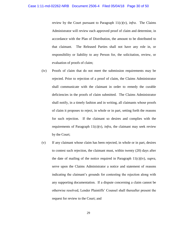review by the Court pursuant to Paragraph  $11(c)(v)$ , *infra*. The Claims Administrator will review each approved proof of claim and determine, in accordance with the Plan of Distribution, the amount to be distributed to that claimant. The Released Parties shall not have any role in, or responsibility or liability to any Person for, the solicitation, review, or evaluation of proofs of claim;

- (iv) Proofs of claim that do not meet the submission requirements may be rejected. Prior to rejection of a proof of claim, the Claims Administrator shall communicate with the claimant in order to remedy the curable deficiencies in the proofs of claim submitted. The Claims Administrator shall notify, in a timely fashion and in writing, all claimants whose proofs of claim it proposes to reject, in whole or in part, setting forth the reasons for such rejection. If the claimant so desires and complies with the requirements of Paragraph  $11(c)(v)$ , *infra*, the claimant may seek review by the Court;
- (v) If any claimant whose claim has been rejected, in whole or in part, desires to contest such rejection, the claimant must, within twenty (20) days after the date of mailing of the notice required in Paragraph 11(c)(iv), *supra*, serve upon the Claims Administrator a notice and statement of reasons indicating the claimant's grounds for contesting the rejection along with any supporting documentation. If a dispute concerning a claim cannot be otherwise resolved, Lender Plaintiffs' Counsel shall thereafter present the request for review to the Court; and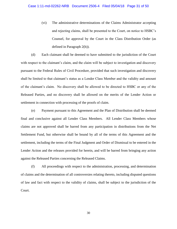(vi) The administrative determinations of the Claims Administrator accepting and rejecting claims, shall be presented to the Court, on notice to HSBC's Counsel, for approval by the Court in the Class Distribution Order (as defined in Paragraph 2(h)).

(d) Each claimant shall be deemed to have submitted to the jurisdiction of the Court with respect to the claimant's claim, and the claim will be subject to investigation and discovery pursuant to the Federal Rules of Civil Procedure, provided that such investigation and discovery shall be limited to that claimant's status as a Lender Class Member and the validity and amount of the claimant's claim. No discovery shall be allowed to be directed to HSBC or any of the Released Parties, and no discovery shall be allowed on the merits of the Lender Action or settlement in connection with processing of the proofs of claim.

(e) Payment pursuant to this Agreement and the Plan of Distribution shall be deemed final and conclusive against all Lender Class Members. All Lender Class Members whose claims are not approved shall be barred from any participation in distributions from the Net Settlement Fund, but otherwise shall be bound by all of the terms of this Agreement and the settlement, including the terms of the Final Judgment and Order of Dismissal to be entered in the Lender Action and the releases provided for herein, and will be barred from bringing any action against the Released Parties concerning the Released Claims.

(f) All proceedings with respect to the administration, processing, and determination of claims and the determination of all controversies relating thereto, including disputed questions of law and fact with respect to the validity of claims, shall be subject to the jurisdiction of the Court.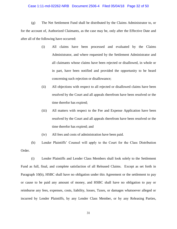### Case 1:11-md-02262-NRB Document 2506-4 Filed 05/04/18 Page 32 of 50

(g) The Net Settlement Fund shall be distributed by the Claims Administrator to, or for the account of, Authorized Claimants, as the case may be, only after the Effective Date and after all of the following have occurred:

- (i) All claims have been processed and evaluated by the Claims Administrator, and where requested by the Settlement Administrator and all claimants whose claims have been rejected or disallowed, in whole or in part, have been notified and provided the opportunity to be heard concerning such rejection or disallowance;
- (ii) All objections with respect to all rejected or disallowed claims have been resolved by the Court and all appeals therefrom have been resolved or the time therefor has expired;
- (iii) All matters with respect to the Fee and Expense Application have been resolved by the Court and all appeals therefrom have been resolved or the time therefor has expired; and
- (iv) All fees and costs of administration have been paid.

(h) Lender Plaintiffs' Counsel will apply to the Court for the Class Distribution Order.

(i) Lender Plaintiffs and Lender Class Members shall look solely to the Settlement Fund as full, final, and complete satisfaction of all Released Claims. Except as set forth in Paragraph 10(b), HSBC shall have no obligation under this Agreement or the settlement to pay or cause to be paid any amount of money, and HSBC shall have no obligation to pay or reimburse any fees, expenses, costs, liability, losses, Taxes, or damages whatsoever alleged or incurred by Lender Plaintiffs, by any Lender Class Member, or by any Releasing Parties,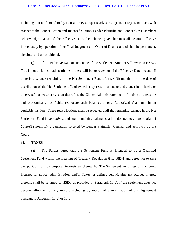# Case 1:11-md-02262-NRB Document 2506-4 Filed 05/04/18 Page 33 of 50

including, but not limited to, by their attorneys, experts, advisors, agents, or representatives, with respect to the Lender Action and Released Claims. Lender Plaintiffs and Lender Class Members acknowledge that as of the Effective Date, the releases given herein shall become effective immediately by operation of the Final Judgment and Order of Dismissal and shall be permanent, absolute, and unconditional.

(j) If the Effective Date occurs, none of the Settlement Amount will revert to HSBC. This is not a claims-made settlement; there will be no reversion if the Effective Date occurs. If there is a balance remaining in the Net Settlement Fund after six (6) months from the date of distribution of the Net Settlement Fund (whether by reason of tax refunds, uncashed checks or otherwise), or reasonably soon thereafter, the Claims Administrator shall, if logistically feasible and economically justifiable, reallocate such balances among Authorized Claimants in an equitable fashion. These redistributions shall be repeated until the remaining balance in the Net Settlement Fund is *de minimis* and such remaining balance shall be donated to an appropriate § 501(c)(3) nonprofit organization selected by Lender Plaintiffs' Counsel and approved by the Court.

# **12. TAXES**

(a) The Parties agree that the Settlement Fund is intended to be a Qualified Settlement Fund within the meaning of Treasury Regulation § 1.468B-1 and agree not to take any position for Tax purposes inconsistent therewith. The Settlement Fund, less any amounts incurred for notice, administration, and/or Taxes (as defined below), plus any accrued interest thereon, shall be returned to HSBC as provided in Paragraph 13(c), if the settlement does not become effective for any reason, including by reason of a termination of this Agreement pursuant to Paragraph 13(a) or 13(d).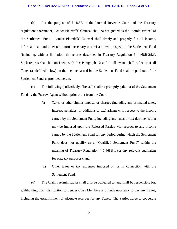### Case 1:11-md-02262-NRB Document 2506-4 Filed 05/04/18 Page 34 of 50

(b) For the purpose of § 468B of the Internal Revenue Code and the Treasury regulations thereunder, Lender Plaintiffs' Counsel shall be designated as the "administrator" of the Settlement Fund. Lender Plaintiffs' Counsel shall timely and properly file all income, informational, and other tax returns necessary or advisable with respect to the Settlement Fund (including, without limitation, the returns described in Treasury Regulation § 1.468B-2(k)). Such returns shall be consistent with this Paragraph 12 and in all events shall reflect that all Taxes (as defined below) on the income earned by the Settlement Fund shall be paid out of the Settlement Fund as provided herein.

(c) The following (collectively "Taxes") shall be promptly paid out of the Settlement Fund by the Escrow Agent without prior order from the Court:

- (i) Taxes or other similar imposts or charges (including any estimated taxes, interest, penalties, or additions to tax) arising with respect to the income earned by the Settlement Fund, including any taxes or tax detriments that may be imposed upon the Released Parties with respect to any income earned by the Settlement Fund for any period during which the Settlement Fund does not qualify as a "Qualified Settlement Fund" within the meaning of Treasury Regulation § 1.468B-1 (or any relevant equivalent for state tax purposes); and
- (ii) Other taxes or tax expenses imposed on or in connection with the Settlement Fund.

(d) The Claims Administrator shall also be obligated to, and shall be responsible for, withholding from distribution to Lender Class Members any funds necessary to pay any Taxes, including the establishment of adequate reserves for any Taxes. The Parties agree to cooperate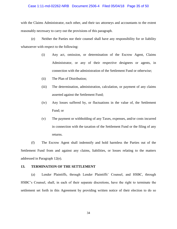# Case 1:11-md-02262-NRB Document 2506-4 Filed 05/04/18 Page 35 of 50

with the Claims Administrator, each other, and their tax attorneys and accountants to the extent reasonably necessary to carry out the provisions of this paragraph.

(e) Neither the Parties nor their counsel shall have any responsibility for or liability whatsoever with respect to the following:

- (i) Any act, omission, or determination of the Escrow Agent, Claims Administrator, or any of their respective designees or agents, in connection with the administration of the Settlement Fund or otherwise;
- (ii) The Plan of Distribution;
- (iii) The determination, administration, calculation, or payment of any claims asserted against the Settlement Fund;
- (iv) Any losses suffered by, or fluctuations in the value of, the Settlement Fund; or
- (v) The payment or withholding of any Taxes, expenses, and/or costs incurred in connection with the taxation of the Settlement Fund or the filing of any returns.

(f) The Escrow Agent shall indemnify and hold harmless the Parties out of the Settlement Fund from and against any claims, liabilities, or losses relating to the matters addressed in Paragraph 12(e).

# **13. TERMINATION OF THE SETTLEMENT**

(a) Lender Plaintiffs, through Lender Plaintiffs' Counsel, and HSBC, through HSBC's Counsel, shall, in each of their separate discretions, have the right to terminate the settlement set forth in this Agreement by providing written notice of their election to do so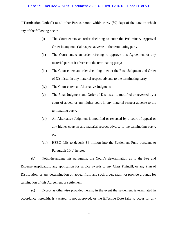# Case 1:11-md-02262-NRB Document 2506-4 Filed 05/04/18 Page 36 of 50

("Termination Notice") to all other Parties hereto within thirty (30) days of the date on which any of the following occur:

- (i) The Court enters an order declining to enter the Preliminary Approval Order in any material respect adverse to the terminating party;
- (ii) The Court enters an order refusing to approve this Agreement or any material part of it adverse to the terminating party;
- (iii) The Court enters an order declining to enter the Final Judgment and Order of Dismissal in any material respect adverse to the terminating party;
- (iv) The Court enters an Alternative Judgment;
- (v) The Final Judgment and Order of Dismissal is modified or reversed by a court of appeal or any higher court in any material respect adverse to the terminating party;
- (vi) An Alternative Judgment is modified or reversed by a court of appeal or any higher court in any material respect adverse to the terminating party; or;
- (vii) HSBC fails to deposit \$4 million into the Settlement Fund pursuant to Paragraph 10(b) hereto.

(b) Notwithstanding this paragraph, the Court's determination as to the Fee and Expense Application, any application for service awards to any Class Plaintiff, or any Plan of Distribution, or any determination on appeal from any such order, shall not provide grounds for termination of this Agreement or settlement.

(c) Except as otherwise provided herein, in the event the settlement is terminated in accordance herewith, is vacated, is not approved, or the Effective Date fails to occur for any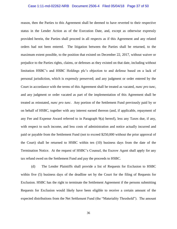### Case 1:11-md-02262-NRB Document 2506-4 Filed 05/04/18 Page 37 of 50

reason, then the Parties to this Agreement shall be deemed to have reverted to their respective status in the Lender Action as of the Execution Date, and, except as otherwise expressly provided herein, the Parties shall proceed in all respects as if this Agreement and any related orders had not been entered. The litigation between the Parties shall be returned, to the maximum extent possible, to the position that existed on December 22, 2017, without waiver or prejudice to the Parties rights, claims, or defenses as they existed on that date, including without limitation HSBC's and HSBC Holdings plc's objection to and defense based on a lack of personal jurisdiction, which is expressly preserved; and any judgment or order entered by the Court in accordance with the terms of this Agreement shall be treated as vacated, *nunc pro tunc*, and any judgment or order vacated as part of the implementation of this Agreement shall be treated as reinstated, *nunc pro tunc*. Any portion of the Settlement Fund previously paid by or on behalf of HSBC, together with any interest earned thereon (and, if applicable, repayment of any Fee and Expense Award referred to in Paragraph 9(a) hereof), less any Taxes due, if any, with respect to such income, and less costs of administration and notice actually incurred and paid or payable from the Settlement Fund (not to exceed \$250,000 without the prior approval of the Court) shall be returned to HSBC within ten (10) business days from the date of the Termination Notice. At the request of HSBC's Counsel, the Escrow Agent shall apply for any tax refund owed on the Settlement Fund and pay the proceeds to HSBC.

(d) The Lender Plaintiffs shall provide a list of Requests for Exclusion to HSBC within five (5) business days of the deadline set by the Court for the filing of Requests for Exclusion. HSBC has the right to terminate the Settlement Agreement if the persons submitting Requests for Exclusion would likely have been eligible to receive a certain amount of the expected distributions from the Net Settlement Fund (the "Materiality Threshold"). The amount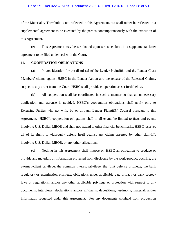# Case 1:11-md-02262-NRB Document 2506-4 Filed 05/04/18 Page 38 of 50

of the Materiality Threshold is not reflected in this Agreement, but shall rather be reflected in a supplemental agreement to be executed by the parties contemporaneously with the execution of this Agreement.

(e) This Agreement may be terminated upon terms set forth in a supplemental letter agreement to be filed under seal with the Court.

# **14. COOPERATION OBLIGATIONS**

(a) In consideration for the dismissal of the Lender Plaintiffs' and the Lender Class Members' claims against HSBC in the Lender Action and the release of the Released Claims, subject to any order from the Court, HSBC shall provide cooperation as set forth below.

(b) All cooperation shall be coordinated in such a manner so that all unnecessary duplication and expense is avoided. HSBC's cooperation obligations shall apply only to Releasing Parties who act with, by or through Lender Plaintiffs' Counsel pursuant to this Agreement. HSBC's cooperation obligations shall in all events be limited to facts and events involving U.S. Dollar LIBOR and shall not extend to other financial benchmarks. HSBC reserves all of its rights to vigorously defend itself against any claims asserted by other plaintiffs involving U.S. Dollar LIBOR, or any other, allegations.

(c) Nothing in this Agreement shall impose on HSBC an obligation to produce or provide any materials or information protected from disclosure by the work-product doctrine, the attorney-client privilege, the common interest privilege, the joint defense privilege, the bank regulatory or examination privilege, obligations under applicable data privacy or bank secrecy laws or regulations, and/or any other applicable privilege or protection with respect to any documents, interviews, declarations and/or affidavits, depositions, testimony, material, and/or information requested under this Agreement. For any documents withheld from production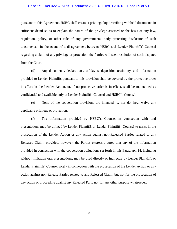# Case 1:11-md-02262-NRB Document 2506-4 Filed 05/04/18 Page 39 of 50

pursuant to this Agreement, HSBC shall create a privilege log describing withheld documents in sufficient detail so as to explain the nature of the privilege asserted or the basis of any law, regulation, policy, or other rule of any governmental body protecting disclosure of such documents. In the event of a disagreement between HSBC and Lender Plaintiffs' Counsel regarding a claim of any privilege or protection, the Parties will seek resolution of such disputes from the Court.

(d) Any documents, declarations, affidavits, deposition testimony, and information provided to Lender Plaintiffs pursuant to this provision shall be covered by the protective order in effect in the Lender Action, or, if no protective order is in effect, shall be maintained as confidential and available only to Lender Plaintiffs' Counsel and HSBC's Counsel.

(e) None of the cooperation provisions are intended to, nor do they, waive any applicable privilege or protection.

(f) The information provided by HSBC's Counsel in connection with oral presentations may be utilized by Lender Plaintiffs or Lender Plaintiffs' Counsel to assist in the prosecution of the Lender Action or any action against non-Released Parties related to any Released Claim; provided, however, the Parties expressly agree that any of the information provided in connection with the cooperation obligations set forth in this Paragraph 14, including without limitation oral presentations, may be used directly or indirectly by Lender Plaintiffs or Lender Plaintiffs' Counsel solely in connection with the prosecution of the Lender Action or any action against non-Release Parties related to any Released Claim, but not for the prosecution of any action or proceeding against any Released Party nor for any other purpose whatsoever.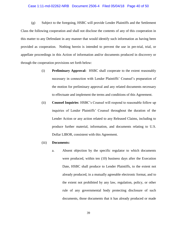### Case 1:11-md-02262-NRB Document 2506-4 Filed 05/04/18 Page 40 of 50

(g) Subject to the foregoing, HSBC will provide Lender Plaintiffs and the Settlement Class the following cooperation and shall not disclose the contents of any of this cooperation in this matter to any Defendant in any manner that would identify such information as having been provided as cooperation. Nothing herein is intended to prevent the use in pre-trial, trial, or appellate proceedings in this Action of information and/or documents produced in discovery or through the cooperation provisions set forth below:

- (i) **Preliminary Approval:** HSBC shall cooperate to the extent reasonably necessary in connection with Lender Plaintiffs' Counsel's preparation of the motion for preliminary approval and any related documents necessary to effectuate and implement the terms and conditions of this Agreement.
- (ii) **Counsel Inquiries**: HSBC's Counsel will respond to reasonable follow up inquiries of Lender Plaintiffs' Counsel throughout the duration of the Lender Action or any action related to any Released Claims, including to produce further material, information, and documents relating to U.S. Dollar LIBOR, consistent with this Agreement.

## (iii) **Documents:**

a. Absent objection by the specific regulator to which documents were produced, within ten (10) business days after the Execution Date, HSBC shall produce to Lender Plaintiffs, to the extent not already produced, in a mutually agreeable electronic format, and to the extent not prohibited by any law, regulation, policy, or other rule of any governmental body protecting disclosure of such documents, those documents that it has already produced or made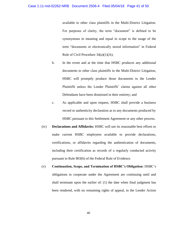available to other class plaintiffs in the Multi-District Litigation. For purposes of clarity, the term "document" is defined to be synonymous in meaning and equal in scope to the usage of the term "documents or electronically stored information" in Federal Rule of Civil Procedure  $34(a)(1)(A)$ ;

- b. In the event and at the time that HSBC produces any additional documents to other class plaintiffs in the Multi-District Litigation, HSBC will promptly produce those documents to the Lender Plaintiffs unless the Lender Plaintiffs' claims against all other Defendants have been dismissed in their entirety; and
- c. As applicable and upon request, HSBC shall provide a business record or authenticity declaration as to any documents produced by HSBC pursuant to this Settlement Agreement or any other process.
- (iv) **Declarations and Affidavits:** HSBC will use its reasonable best efforts to make current HSBC employees available to provide declarations, certifications, or affidavits regarding the authentication of documents, including their certification as records of a regularly conducted activity pursuant to Rule 803(6) of the Federal Rule of Evidence.
- (v) **Continuation, Scope, and Termination of HSBC's Obligation:** HSBC's obligations to cooperate under the Agreement are continuing until and shall terminate upon the earlier of: (1) the date when final judgment has been rendered, with no remaining rights of appeal, in the Lender Action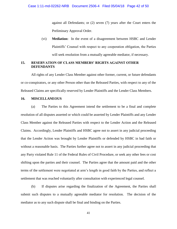against all Defendants; or (2) seven (7) years after the Court enters the Preliminary Approval Order.

(vi) **Mediation:** In the event of a disagreement between HSBC and Lender Plaintiffs' Counsel with respect to any cooperation obligation, the Parties will seek resolution from a mutually agreeable mediator, if necessary.

# **15. RESERVATION OF CLASS MEMBERS' RIGHTS AGAINST OTHER DEFENDANTS**

All rights of any Lender Class Member against other former, current, or future defendants or co-conspirators, or any other Person other than the Released Parties, with respect to any of the Released Claims are specifically reserved by Lender Plaintiffs and the Lender Class Members.

# **16. MISCELLANEOUS**

(a) The Parties to this Agreement intend the settlement to be a final and complete resolution of all disputes asserted or which could be asserted by Lender Plaintiffs and any Lender Class Member against the Released Parties with respect to the Lender Action and the Released Claims. Accordingly, Lender Plaintiffs and HSBC agree not to assert in any judicial proceeding that the Lender Action was brought by Lender Plaintiffs or defended by HSBC in bad faith or without a reasonable basis. The Parties further agree not to assert in any judicial proceeding that any Party violated Rule 11 of the Federal Rules of Civil Procedure, or seek any other fees or cost shifting upon the parties and their counsel. The Parties agree that the amount paid and the other terms of the settlement were negotiated at arm's length in good faith by the Parties, and reflect a settlement that was reached voluntarily after consultation with experienced legal counsel.

(b) If disputes arise regarding the finalization of the Agreement, the Parties shall submit such disputes to a mutually agreeable mediator for resolution. The decision of the mediator as to any such dispute shall be final and binding on the Parties.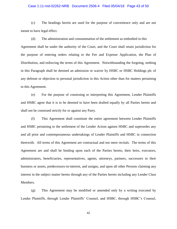# Case 1:11-md-02262-NRB Document 2506-4 Filed 05/04/18 Page 43 of 50

(c) The headings herein are used for the purpose of convenience only and are not meant to have legal effect.

(d) The administration and consummation of the settlement as embodied in this Agreement shall be under the authority of the Court, and the Court shall retain jurisdiction for

the purpose of entering orders relating to the Fee and Expense Application, the Plan of Distribution, and enforcing the terms of this Agreement. Notwithstanding the forgoing, nothing in this Paragraph shall be deemed an admission or waiver by HSBC or HSBC Holdings plc of any defense or objection to personal jurisdiction in this Action other than for matters pertaining to this Agreement.

(e) For the purpose of construing or interpreting this Agreement, Lender Plaintiffs and HSBC agree that it is to be deemed to have been drafted equally by all Parties hereto and shall not be construed strictly for or against any Party.

(f) This Agreement shall constitute the entire agreement between Lender Plaintiffs and HSBC pertaining to the settlement of the Lender Action against HSBC and supersedes any and all prior and contemporaneous undertakings of Lender Plaintiffs and HSBC in connection therewith. All terms of this Agreement are contractual and not mere recitals. The terms of this Agreement are and shall be binding upon each of the Parties hereto, their heirs, executors, administrators, beneficiaries, representatives, agents, attorneys, partners, successors to their business or assets, predecessors-in-interest, and assigns, and upon all other Persons claiming any interest in the subject matter hereto through any of the Parties hereto including any Lender Class Members.

(g) This Agreement may be modified or amended only by a writing executed by Lender Plaintiffs, through Lender Plaintiffs' Counsel, and HSBC, through HSBC's Counsel,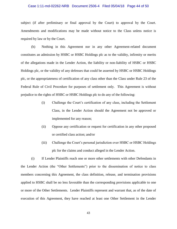### Case 1:11-md-02262-NRB Document 2506-4 Filed 05/04/18 Page 44 of 50

subject (if after preliminary or final approval by the Court) to approval by the Court. Amendments and modifications may be made without notice to the Class unless notice is required by law or by the Court.

(h) Nothing in this Agreement nor in any other Agreement-related document constitutes an admission by HSBC or HSBC Holdings plc as to the validity, infirmity or merits of the allegations made in the Lender Action, the liability or non-liability of HSBC or HSBC Holdings plc, or the validity of any defenses that could be asserted by HSBC or HSBC Holdings plc, or the appropriateness of certification of any class other than the Class under Rule 23 of the Federal Rule of Civil Procedure for purposes of settlement only. This Agreement is without prejudice to the rights of HSBC or HSBC Holdings plc to do any of the following:

- (i) Challenge the Court's certification of any class, including the Settlement Class, in the Lender Action should the Agreement not be approved or implemented for any reason;
- (ii) Oppose any certification or request for certification in any other proposed or certified class action; and/or
- (iii) Challenge the Court's personal jurisdiction over HSBC or HSBC Holdings plc for the claims and conduct alleged in the Lender Action.

(i) If Lender Plaintiffs reach one or more other settlements with other Defendants in the Lender Action (the "Other Settlements") prior to the dissemination of notice to class members concerning this Agreement, the class definition, release, and termination provisions applied to HSBC shall be no less favorable than the corresponding provisions applicable to one or more of the Other Settlements. Lender Plaintiffs represent and warrant that, as of the date of execution of this Agreement, they have reached at least one Other Settlement in the Lender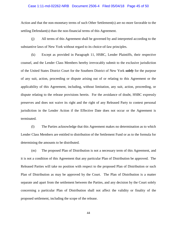### Case 1:11-md-02262-NRB Document 2506-4 Filed 05/04/18 Page 45 of 50

Action and that the non-monetary terms of such Other Settlement(s) are no more favorable to the settling Defendant(s) than the non-financial terms of this Agreement.

(j) All terms of this Agreement shall be governed by and interpreted according to the substantive laws of New York without regard to its choice-of-law principles.

(k) Except as provided in Paragraph 11, HSBC, Lender Plaintiffs, their respective counsel, and the Lender Class Members hereby irrevocably submit to the exclusive jurisdiction of the United States District Court for the Southern District of New York *solely* for the purpose of any suit, action, proceeding or dispute arising out of or relating to this Agreement or the applicability of this Agreement, including, without limitation, any suit, action, proceeding, or dispute relating to the release provisions herein. For the avoidance of doubt, HSBC expressly preserves and does not waive its right and the right of any Released Party to contest personal jurisdiction in the Lender Action if the Effective Date does not occur or the Agreement is terminated.

(l) The Parties acknowledge that this Agreement makes no determination as to which Lender Class Members are entitled to distribution of the Settlement Fund or as to the formula for determining the amounts to be distributed.

(m) The proposed Plan of Distribution is not a necessary term of this Agreement, and it is not a condition of this Agreement that any particular Plan of Distribution be approved. The Released Parties will take no position with respect to the proposed Plan of Distribution or such Plan of Distribution as may be approved by the Court. The Plan of Distribution is a matter separate and apart from the settlement between the Parties, and any decision by the Court solely concerning a particular Plan of Distribution shall not affect the validity or finality of the proposed settlement, including the scope of the release.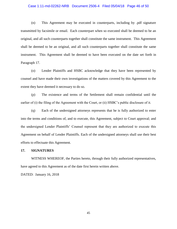# Case 1:11-md-02262-NRB Document 2506-4 Filed 05/04/18 Page 46 of 50

(n) This Agreement may be executed in counterparts, including by .pdf signature transmitted by facsimile or email. Each counterpart when so executed shall be deemed to be an original, and all such counterparts together shall constitute the same instrument. This Agreement shall be deemed to be an original, and all such counterparts together shall constitute the same instrument. This Agreement shall be deemed to have been executed on the date set forth in Paragraph 17.

(o) Lender Plaintiffs and HSBC acknowledge that they have been represented by counsel and have made their own investigations of the matters covered by this Agreement to the extent they have deemed it necessary to do so.

(p) The existence and terms of the Settlement shall remain confidential until the earlier of (i) the filing of the Agreement with the Court, or (ii) HSBC's public disclosure of it.

(q) Each of the undersigned attorneys represents that he is fully authorized to enter into the terms and conditions of, and to execute, this Agreement, subject to Court approval; and the undersigned Lender Plaintiffs' Counsel represent that they are authorized to execute this Agreement on behalf of Lender Plaintiffs. Each of the undersigned attorneys shall use their best efforts to effectuate this Agreement.

### **17. SIGNATURES**

WITNESS WHEREOF, the Parties hereto, through their fully authorized representatives, have agreed to this Agreement as of the date first herein written above.

DATED: January 16, 2018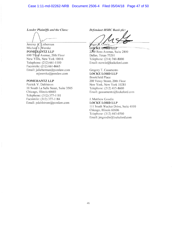# Case 1:11-md-02262-NRB Document 2506-4 Filed 05/04/18 Page 47 of 50

Lender Plaintiffs and the Class:

Jeremy A. Lieberman Michael J. Wernke POMERANTZ LLP 600 Third Avenue, 20th Floor New York, New York 10016 Telephone: (212) 661-1100 Facsimile: (212) 661-8665 Email: jalieberman@pomlaw.com  $mjwernke@pomlaw.com$ 

# POMERANTZ LLP

Patrick V. Dahlstrom 10 South La Salle Street, Suite 3505 Chicago, Illinois 60603 Telephone: (312) 377-1181 Facsimile: (312) 377-1184 Email: pdahlstrom@pomlaw.com

Defendant HSBC Bank plc:

Voger B. Cowie

**LOCKE LORD LLP** 2200 Ross Avenue, Suite 2800 Dallas, Texas 75201 Telephone: (214) 740-8000 Email: reowie@lockelord.com

Gregory T. Casamento **LOCKE LORD LLP Brookfield Place** 200 Vesey Street, 20th Floor New York, New York 10281 Telephone: (212) 415-8600 Email: gcasamento@lockelord.com

J. Matthew Goodin **LOCKE LORD LLP** 111 South Wacker Drive, Suite 4100 Chicago, Illinois 60606 Telephone: (312) 443-0700 Email: jmgoodin@lockelord.com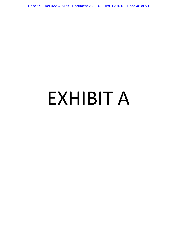Case 1:11-md-02262-NRB Document 2506-4 Filed 05/04/18 Page 48 of 50

# EXHIBIT A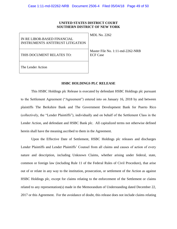# **UNITED STATES DISTRICT COURT SOUTHERN DISTRICT OF NEW YORK**

| IN RE LIBOR-BASED FINANCIAL<br><b>INSTRUMENTS ANTITRUST LITIGATION</b> | MDL No. 2262                                           |
|------------------------------------------------------------------------|--------------------------------------------------------|
| THIS DOCUMENT RELATES TO:                                              | Master File No. $1:11$ -md-2262-NRB<br><b>ECF</b> Case |
| The Lender Action                                                      |                                                        |

# **HSBC HOLDINGS PLC RELEASE**

This HSBC Holdings plc Release is executed by defendant HSBC Holdings plc pursuant to the Settlement Agreement ("Agreement") entered into on January 16, 2018 by and between plaintiffs The Berkshire Bank and The Government Development Bank for Puerto Rico (collectively, the "Lender Plaintiffs"), individually and on behalf of the Settlement Class in the Lender Action, and defendant and HSBC Bank plc. All capitalized terms not otherwise defined herein shall have the meaning ascribed to them in the Agreement.

Upon the Effective Date of Settlement, HSBC Holdings plc releases and discharges Lender Plaintiffs and Lender Plaintiffs' Counsel from all claims and causes of action of every nature and description, including Unknown Claims, whether arising under federal, state, common or foreign law (including Rule 11 of the Federal Rules of Civil Procedure), that arise out of or relate in any way to the institution, prosecution, or settlement of the Action as against HSBC Holdings plc, except for claims relating to the enforcement of the Settlement or claims related to any representation(s) made in the Memorandum of Understanding dated December 22, 2017 or this Agreement. For the avoidance of doubt, this release does not include claims relating